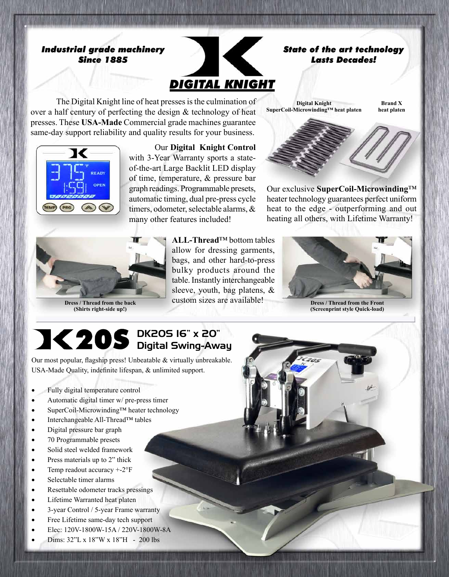### *Industrial grade machinery Since 1885*



The Digital Knight line of heat presses is the culmination of over a half century of perfecting the design  $&$  technology of heat presses. These **USA-Made** Commercial grade machines guarantee same-day support reliability and quality results for your business.



 Our **Digital Knight Control** with 3-Year Warranty sports a stateof-the-art Large Backlit LED display of time, temperature, & pressure bar graph readings. Programmable presets, automatic timing, dual pre-press cycle timers, odometer, selectable alarms,  $\&$ many other features included!



**Dress / Thread from the back (Shirts right-side up!)**

**ALL-Thread**™ bottom tables allow for dressing garments, bags, and other hard-to-press bulky products around the table. Instantly interchangeable sleeve, youth, bag platens, & custom sizes are available!

**SuperCoil-Microwinding™ heat platen heat platen**

**Digital Knight**

*Lasts Decades!*

**Brand X**

Our exclusive **SuperCoil-Microwinding**™ heater technology guarantees perfect uniform heat to the edge - outperforming and out heating all others, with Lifetime Warranty!



**Dress / Thread from the Front (Screenprint style Quick-load)**

### DK20S 16" x 20" Digital Swing-Away

Our most popular, flagship press! Unbeatable & virtually unbreakable. USA-Made Quality, indefinite lifespan, & unlimited support.

- Fully digital temperature control
- Automatic digital timer w/ pre-press timer
- SuperCoil-Microwinding™ heater technology
- • Interchangeable All-Thread™ tables
- • Digital pressure bar graph
- 70 Programmable presets
- Solid steel welded framework
- Press materials up to 2" thick
- Temp readout accuracy  $+2^{\circ}$ F
- • Selectable timer alarms
- Resettable odometer tracks pressings
- Lifetime Warranted heat platen
- 3-year Control / 5-year Frame warranty
- Free Lifetime same-day tech support
- Elec: 120V-1800W-15A / 220V-1800W-8A
- Dims:  $32$ "L x 18"W x 18"H 200 lbs